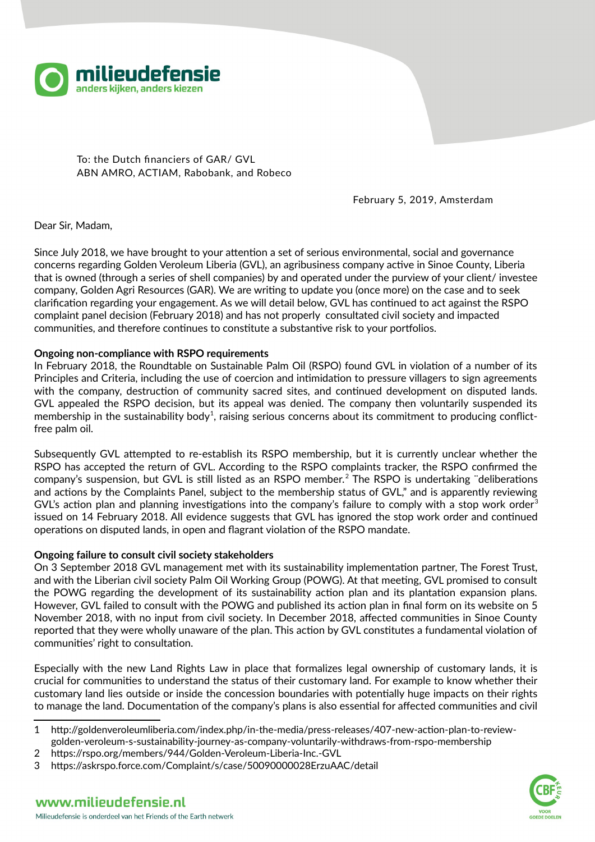

To: the Dutch financiers of GAR/ GVL ABN AMRO, ACTIAM, Rabobank, and Robeco

February 5, 2019, Amsterdam

Dear Sir, Madam,

Since July 2018, we have brought to your attention a set of serious environmental, social and governance concerns regarding Golden Veroleum Liberia (GVL), an agribusiness company active in Sinoe County, Liberia that is owned (through a series of shell companies) by and operated under the purview of your client/ investee company, Golden Agri Resources (GAR). We are writing to update you (once more) on the case and to seek clarification regarding your engagement. As we will detail below, GVL has continued to act against the RSPO complaint panel decision (February 2018) and has not properly consultated civil society and impacted communities, and therefore continues to constitute a substantive risk to your portfolios.

# **Ongoing non-compliance with RSPO requirements**

In February 2018, the Roundtable on Sustainable Palm Oil (RSPO) found GVL in violation of a number of its Principles and Criteria, including the use of coercion and intimidation to pressure villagers to sign agreements with the company, destruction of community sacred sites, and continued development on disputed lands. GVL appealed the RSPO decision, but its appeal was denied. The company then voluntarily suspended its membership in the sustainability body<sup>[1](#page-0-0)</sup>, raising serious concerns about its commitment to producing conflictfree palm oil.

Subsequently GVL attempted to re-establish its RSPO membership, but it is currently unclear whether the RSPO has accepted the return of GVL. According to the RSPO complaints tracker, the RSPO confirmed the company's suspension, but GVL is still listed as an RSPO member.<sup>[2](#page-0-1)</sup> The RSPO is undertaking "deliberations and actions by the Complaints Panel, subject to the membership status of GVL," and is apparently reviewing GVL's action plan and planning investigations into the company's failure to comply with a stop work order<sup>[3](#page-0-2)</sup> issued on 14 February 2018. All evidence suggests that GVL has ignored the stop work order and continued operations on disputed lands, in open and flagrant violation of the RSPO mandate.

## **Ongoing failure to consult civil society stakeholders**

On 3 September 2018 GVL management met with its sustainability implementation partner, The Forest Trust, and with the Liberian civil society Palm Oil Working Group (POWG). At that meeting, GVL promised to consult the POWG regarding the development of its sustainability action plan and its plantation expansion plans. However, GVL failed to consult with the POWG and published its action plan in final form on its website on 5 November 2018, with no input from civil society. In December 2018, affected communities in Sinoe County reported that they were wholly unaware of the plan. This action by GVL constitutes a fundamental violation of communities' right to consultation.

Especially with the new Land Rights Law in place that formalizes legal ownership of customary lands, it is crucial for communities to understand the status of their customary land. For example to know whether their customary land lies outside or inside the concession boundaries with potentially huge impacts on their rights to manage the land. Documentation of the company's plans is also essential for affected communities and civil



<span id="page-0-0"></span><sup>1</sup> http://goldenveroleumliberia.com/index.php/in-the-media/press-releases/407-new-action-plan-to-reviewgolden-veroleum-s-sustainability-journey-as-company-voluntarily-withdraws-from-rspo-membership

<span id="page-0-1"></span><sup>2</sup> https://rspo.org/members/944/Golden-Veroleum-Liberia-Inc.-GVL

<span id="page-0-2"></span><sup>3</sup> https://askrspo.force.com/Complaint/s/case/50090000028ErzuAAC/detail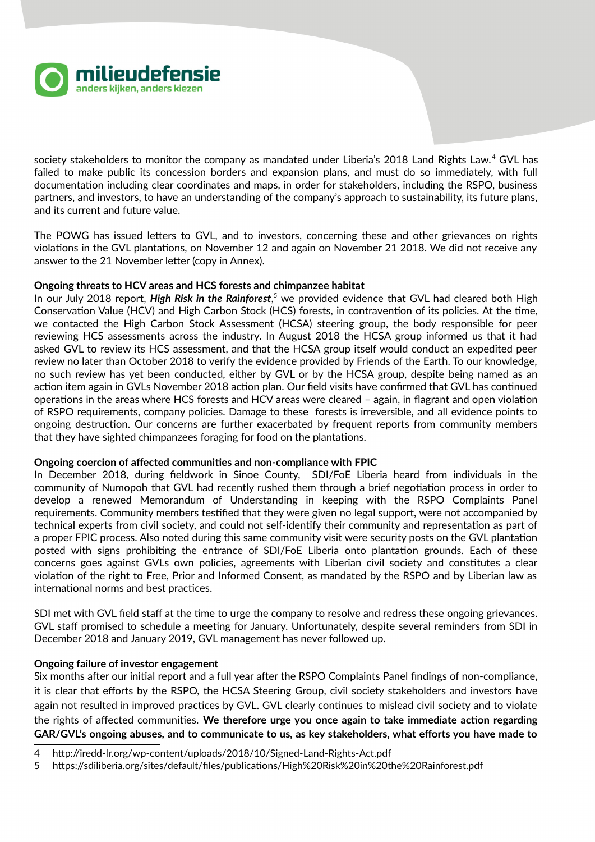

society stakeholders to monitor the company as mandated under Liberia's 2018 Land Rights Law.<sup>[4](#page-1-0)</sup> GVL has failed to make public its concession borders and expansion plans, and must do so immediately, with full documentation including clear coordinates and maps, in order for stakeholders, including the RSPO, business partners, and investors, to have an understanding of the company's approach to sustainability, its future plans, and its current and future value.

The POWG has issued letters to GVL, and to investors, concerning these and other grievances on rights violations in the GVL plantations, on November 12 and again on November 21 2018. We did not receive any answer to the 21 November letter (copy in Annex).

## **Ongoing threats to HCV areas and HCS forests and chimpanzee habitat**

In our July 2018 report, *High Risk in the Rainforest*,<sup>[5](#page-1-1)</sup> we provided evidence that GVL had cleared both High Conservation Value (HCV) and High Carbon Stock (HCS) forests, in contravention of its policies. At the time, we contacted the High Carbon Stock Assessment (HCSA) steering group, the body responsible for peer reviewing HCS assessments across the industry. In August 2018 the HCSA group informed us that it had asked GVL to review its HCS assessment, and that the HCSA group itself would conduct an expedited peer review no later than October 2018 to verify the evidence provided by Friends of the Earth. To our knowledge, no such review has yet been conducted, either by GVL or by the HCSA group, despite being named as an action item again in GVLs November 2018 action plan. Our field visits have confirmed that GVL has continued operations in the areas where HCS forests and HCV areas were cleared – again, in flagrant and open violation of RSPO requirements, company policies. Damage to these forests is irreversible, and all evidence points to ongoing destruction. Our concerns are further exacerbated by frequent reports from community members that they have sighted chimpanzees foraging for food on the plantations.

## **Ongoing coercion of affected communities and non-compliance with FPIC**

In December 2018, during fieldwork in Sinoe County, SDI/FoE Liberia heard from individuals in the community of Numopoh that GVL had recently rushed them through a brief negotiation process in order to develop a renewed Memorandum of Understanding in keeping with the RSPO Complaints Panel requirements. Community members testified that they were given no legal support, were not accompanied by technical experts from civil society, and could not self-identify their community and representation as part of a proper FPIC process. Also noted during this same community visit were security posts on the GVL plantation posted with signs prohibiting the entrance of SDI/FoE Liberia onto plantation grounds. Each of these concerns goes against GVLs own policies, agreements with Liberian civil society and constitutes a clear violation of the right to Free, Prior and Informed Consent, as mandated by the RSPO and by Liberian law as international norms and best practices.

SDI met with GVL field staff at the time to urge the company to resolve and redress these ongoing grievances. GVL staff promised to schedule a meeting for January. Unfortunately, despite several reminders from SDI in December 2018 and January 2019, GVL management has never followed up.

## **Ongoing failure of investor engagement**

Six months after our initial report and a full year after the RSPO Complaints Panel findings of non-compliance, it is clear that efforts by the RSPO, the HCSA Steering Group, civil society stakeholders and investors have again not resulted in improved practices by GVL. GVL clearly continues to mislead civil society and to violate the rights of affected communities. **We therefore urge you once again to take immediate action regarding GAR/GVL's ongoing abuses, and to communicate to us, as key stakeholders, what efforts you have made to**

<span id="page-1-0"></span><sup>4</sup> http://iredd-lr.org/wp-content/uploads/2018/10/Signed-Land-Rights-Act.pdf

<span id="page-1-1"></span><sup>5</sup> https://sdiliberia.org/sites/default/files/publications/High%20Risk%20in%20the%20Rainforest.pdf